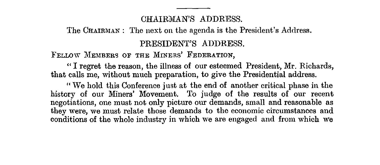## CHAIRMAN'S ADDRESS.

The CHAIRMAN: The next on the agenda is the President's Address.

# PRESIDENT'S ADDRESS.

FELLOW MEMBERS or THE MINERS' FEDERATION,

"I regret the reason, the illness of our esteemed President, Mr. Richards, that calls me, without much preparation, to give the Presidential address.

"We hold this Conference just at the end of another critical phase in the history of our Miners' Movement. To judge of the results of our recent negotiations, one must not only picture our demands, small and reasonable as they were, we must relate those demands to the economic circumstances and conditions of the whole industry in which we are engaged and from which we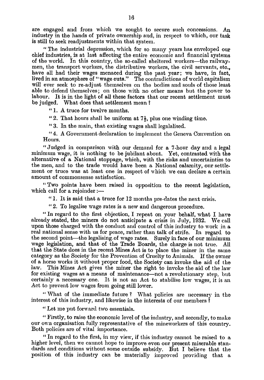are engaged and from which we sought to secure such concessions. An industry in the hands of private ownership and, in respect to which, our task is still to seek readjustments within that system.

"The industrial depression, which for so many years has enveloped our chief industries, is at last affecting the entire economic and financial systems of the world. In this country, the so-called sheltered workers—the railway. men, the transport workers, the distributive workers, the civil servants, etc., have all had their wages menaced during the past year; we have, in fact, lived in an atmosphere of "wage cuts." The contradictions of world capitalism will ever seek to re-adjust themselves on the bodies and souls of those least able to defend themselves; on those with no other means but the power to labour. It is in the light of all these factors that our recent settlement must be judged. What does that settlement mean?

"1. A truce for twelve months.

"2. That hours shall be uniform at  $7\frac{1}{2}$ , plus one winding time.

"3. In the main, that existing wages shall legalalised.

"4. A Government declaration to implement the Geneva Convention on Hours.

"Judged in comparison with our demand for a 7-hour day and a legal minimum wage, it is nothing to be jubilant about. Yet, contrasted with the alternative of a National stoppage, which, with the risks and uncertainties to the men, and to the trade would have been a National calamity, our settlement or truce was at least one in respect of which we can declare a certain amount of commonsense satisfaction.

*"Two* points have been raised in opposition to the recent legislation, which call for a rejoinder :-

"1. It is said that a truce for 12 months pre-dates the next crisis.

"2. To legalise wage rates is a new and dangerous procedure.

"In regard to the first objection, I repeat on your behalf, what I have already stated, the miners do not anticipate a crisis in July, 1932. We call upon those charged with the conduct and control of this industry to work in a real national sense with us for peace, rather than talk of strife. In regard to the second point—the legalising.of wage rates. Surely in face of our minimum wage legislation, and that of the Trade Boards, the charge is not true. AU that the State does in the recent Mines Act is to place the miner in the same category as the Society for the Prevention of Cruelty to Animals. If the owner of a horse works it without proper food, the Society can invoke the aid of the This Mines Act gives the miner the right to invoke the aid of the law for existing wages as a means of maintenance—not a revolutionary step, but certainly a necessary one. It is not an Act to stabilise low wages, it is an Act to prevent low wages from going still lower.

"What of the immediate future? What policies are necessary in the interest of this industry, and likewise in the interests of our members?

"Let me put forward two essentials.

"Firstly, to raise the economic level of the industry, and secondly, to make our own organisation fully representative of the mineworkers of this country. Both policies are of vital importance.

"In regard to the first, in my view, if this industry cannot be raised to a higher level, then we cannot hope to improve even our present miserable standards and conditions without some outside subsidy. But I believe that the position of this industry can be materially improved providing that a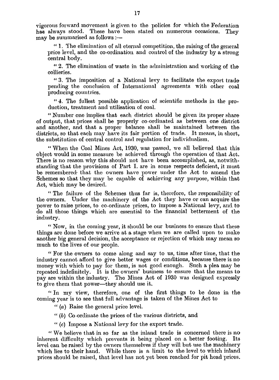vigorous forward movement is given to the policies for which the Federation<br>has always stood. These have been stated on numerous occasions. They has always stood. These have been stated on numerous occasions.  $m$ ay be summarised as follows :-

1. The elimination of all eternal competition, the raising of the general price level, and the co-ordination and control of the industry by a strong central body.

<sup>11</sup>2. The elimination of waste in the administration and working of the collieries.

"3. The imposition of a National levy to facilitate the export trade pending the conclusion of International agreements with other coal producing countries.

"4. The fullest possible application of scientific methods in the production, treatment and utilisation of coal.

"Number one implies that each district should be given its proper share of output, that prices shall be properly co-ordinated as between one district and another, and that a proper balance shall be maintained between the districts, so that each may have its fair portion of trade. It means, in short, the substitution of central control and regulation for individualism.

"When the Coal Mines Act, 1930, was passed, we all believed that this object would in some measure be achieved through the operation of that Act. There is no reason why this should not have been accomplished, as, notwithstanding that the provisions of Part I. are in some respects deficient, it must be remembered- that the owners have power under the Act to amend the Schemes so that they may be capable of achieving any purpose, within that Act, which may be desired.

The failure of the Schemes thus far is, therefore, the responsibility of the owners. Under the machinery of the Act they have or can acquire the power to raise prices, to co-ordinate prices, to impose a National levy, and to do all those things which are essential to the financial betterment of the industry.

"Now, in the coming year, it should be our business to ensure that these things are done before we arrive at a stage when we are called upon to make another big general decision, the acceptance or rejection of which may mean so much to the lives of our people.

"For the owners to come along and say to us, time after time, that the industry cannot afford to give better wages or conditions, because there is no money with which to pay for them, is not good enough. Such a plea may be repeated indefinitely. It is the owners' business to ensure that the means to pay are within the industry. The Mines Act of 1930 was designed expressly to give them that power—they should use it.

"In my view, therefore, one of the first things to be done in the coming year is to see that full advantage is taken of the Mines Act to

 $(a)$  Raise the general price level.

- *<sup>11</sup>(b)* Co-ordinate the prices of the various districts, and
- *"(c)* Impose a National levy for the export trade.

<sup>11</sup>We believe that in so far as the inland trade is concerned there is no inherent difficulty which prevents it being placed on a better footing. Its level can be raised by the owners themselves if they will but use the machinery which lies to their hand. While there is a limit to the level to which inland prices should be raised, that level has not yet been reached for pit head prices.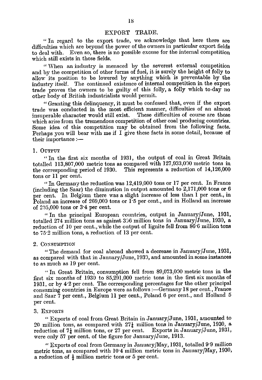# EXPORT TRADE.

"In regard to the export trade, we acknowledge that here there are difficulties which are beyond the power of the owners in particular export fields to deal with. Even so, there is no possible excuse for the internal competition which still exists in those fields.

"When an industry is menaced by the severest external competition and by the competition of other forms of fuel, it is surely the height of folly to allow its position to be lowered by anything which is preventable by the industry itself. The continued existence of internal competition in the export trade proves the owners to be guilty of this folly, a folly which to-day no other body of British industrialists would permit.

"Granting this delinquency, it must be confessed that, even if the export trade was conducted in the most efficient manner, difficulties of an almost insuperable character would still exist. These difficulties of course are those which arise from the tremendous competition of other coal produciug countries. Some idea of this competition may be obtained from the following facts. Perhaps you will bear with me if I give these facts in some detail, because of their importance  $:$ 

#### 1. OUTPUT

"In the first six months of 1931, the output of coal in Great Britain totalled 113,807,000 metric tons as compared with 127,933,030 metric tons in This represents a reduction of  $14,126,000$ tons or 11 per cent.

"In German's the reduction was  $12,419,000$  tons or 17 per cent. In France (including the Saar) the diminution in output amounted to 2,171,000 tons or 6 per cent. In Belgium there was a slight increase of less than 1 per cent., in Poland an increase of 269,000 tons or 1.5 per cent., and in Holland an increase of 295,000 tons or 34 per cent.

"In the principal European countries, output in January/June, 1931, totalled 274 million tons as against 366 million tons in January/June, 1930, a reduction of 10 per cent., while the output of lignite fell from 86.6 million tons to 752 million tons, a reduction of 13 per cent.

#### 2. CONSUMPTION

"The demand for coal abroad showed a decrease in January/June, 1931, as compared with that in January/June, 1939, and amounted in some instances to as much as 19 per cent.

"In Great Britain, consumption fell from 89,073,090 metric tons in the first six months of 1930 to 85,291,000 metric tons in the first six months of 1931, or by 4'2 per cent. The corresponding percentages for the other principal consuming countries in Europe were as follows :—Germany 18 per cent., France and Saar 7 per cent., Belgium 11 per cent., Poland 6 per cent., and Holland 5 per cent.

#### 3. EXPORTS

"Exports of coal from Great Britain in January/June, 1931, amounted to 20 million tons, as compared with  $27\frac{1}{4}$  million tons in January/June, 1930, a reduction of 7 $\frac{1}{4}$  million tons, or 27 per cent. Exports in January/June, 1931, reduction of  $7\frac{1}{4}$  million tons, or 27 per cent. were only 57 per cent, of the figure for January/June, 1913.

"Exports of coal from Germany in January/May, 1931, totalled 99 million metric tons, as compared with 10<sup>-</sup>4 million metric tons in January/May, 1930, a reduction of  $\frac{1}{2}$  million metric tons or 5 per cent.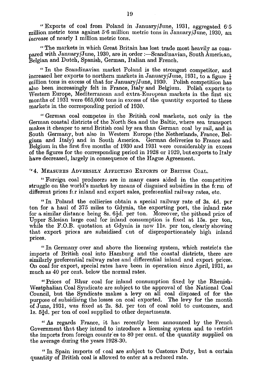"Exports of coal from Poland in January/June, 1931, aggregated *65*  million metric tons against 5.6 million metric tons in January/June, 1930, an *increase* of nearly 1 million metric tons.

"The markets in which Great Britain has lost trade most heavily as compared with January/June, 1930, are in order :—Scandinavian, South American, Belgian and Dutch, Spanish, German, Italian and French.

"In the Scandinavian market Poland is the strongest competitor, and increased her exports to northern markets in January/June, 1931, to a figure  $\frac{1}{2}$ million tons in excess of that for January/June, 1930. Polish competition has also been increasingly felt in France, Italy and Belgium. Polish exports to Western Europe, Mediterranean and extra-European markets in the first six months of 1931 were 665,000 tons in excess of the quantity exported to these markets *in* the corresponding period of 1930.

"German coal competes in the British coal markets, not only in the German coastal districts of the North Sea and the Baltic, where sea transport makes it cheaper to send British coal by sea than German coal by rail, and in South Germany, but also in Western Europe (the Netherlands, France, Belgium and Italy) and in South America. German deliveries to France and Belgium *in* the first five months of 1930 and 1931 were considerably in excess of the figures for the corresponding period in 1928 or 1929, but exports to Italy have decreased, largely in consequence of the Hague Agreement.

"4. MEASURES ADVERSELY AFFECTING EXPORTS OF BRITISH COAL.

"Foreign coal producers are in many cases aided in the competitive struggle on the world's market by means of disguised subsidies in the  $\hat{\mathbf{f}}$ c rm of different prices fcr inland and export sales, preferential railway rates, etc.

"In Poland the collieries obtain a special railway rate of 3s. 4d. per ton for a haul of 375 miles to Gdynia, the exporting port, the inland rate for a similar distance being 8s.  $6\frac{1}{2}d$ . per ton. Moreover, the pithead price of Upper Silesian large coal for inland consumption is fixed at 15s. per ton, while the  $F.O.B.$  quotation at Gdynia is now 11s, per ton, clearly showing that export prices are subsidised cut of disproportionately high inland prices.

"In Germany over and above the licensing system, which restricts the imports of British coal into Hamburg and the coastal districts, there are similarly preferential railway rates and differential inland and export prices. On coal for export, special rates have been in operation since April, 1931, as much as 40 per cent, below the normal rates.

"Prices of Rhur coal for inland consumption fixed by the Rhenish-Westphalian Coal Syndicate are subject to the approval of the National Coal Council, but the Syndicate makes a levy on all coal disposed of for the purpose of subsidising the losses on coal exported. The levy for the month of June, 1931, was fixed at 2s. 8d. per ton of coal sold to customers, and 1s.  $5\frac{3}{4}d$ , per ton of coal supplied to other departments.

"As regards France, it has recently been announced by the French Government that they intend to introduce a licensing system and to i estrict the imports from foreign countries to 80 per cent, of the quantity supplied on the average during the years 1928-30.

"In Spain imports of coal are subject to Customs Duty, but a certain quantity of British coal is allowed to enter at a reduced rate.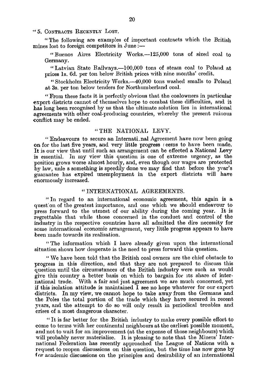"5. CONTRACTS RECENTLY LOST.

"The following are examples of important contracts which the British mines lost to foreign competitors in June:—

- Buenos Aires Electricity Works.-125,000 tons of sized coal to Germany.

"Latvian State Railways.—100,000 tons of steam coal to Poland at prices is. 6d. per ton below British prices with nine months' credit.

"Stockholm Electricity Works.-40,000 tons washed smalls to Poland at 3s. per ton below tenders for Northumberland coal.

" From these facts it is perfectly obvious that the coalowners in particular export districts cannot of themselves hope to combat these difficulties, and it has long been recognised by us that the ultimate solution lies in international agreements with other coal-producing countries, whereby the present ruinous conflict may be ended.

## "THE NATIONAL LEVY.

"Endeavours to secure an Internati nal Agreement have now been going on for the last five years, and very little progress eems to have been made. It is our view that until such an arrangement can be effected a National Levy is essential. In my view this question is one of extreme urgency, as the position grows worse almost hourly, and, even though our wages are protected by law, mile s something is speedily done we may find that before the year's guarantee has expired unemployment in the export districts will have enormously increased.

## "INTERNATIONAL AGREEMENTS.

In regard to an international economic agreement, this again is a quest on of the greatest importance, and one which we should endeavour to press forward to the utmost of our ability during the coming year. It is regrettable that while those concerned in the conduct and control of the industry in the respective countries have all admitted the dire necessity for some international economic arrangement, very little progress appears to have been made towards its realisation.

"The information which I have already given upon the international situation shows how desperate is the need to press forward this question.

"We have been told that the British coal owners are the chief obstacle to progress in this direction, and that they are not prepared to discuss this question until the circumstances of the British industry were such as would give this country a better basis on which to bargain for its share of inter-<br>national trade. With a fair and just agreement we are much concerned, yet With a fair and just agreement we are much concerned, yet if this isolation attitude is maintained I **see** no hope whatever for our export districts. In my view, we cannot hope to take away from the Germans and the Poles the total portion of the trade which they have secured in recent years, and the attempt to do so will only result in periodical troubles and crises of a most dangerous character.

"It is far better for the British industry to make every possible effort to come to terms with her continental neighbours at the earliest possible moment, and not to wait for an improvement (at the expense of those neighbours) which will probably never materialise. It is pleasing to note that the Miners' International Federation has recently approached the League of Nations with a request to reopen discussions on this question, but the time has now gone by  $f \alpha r$  academic discussions on the principles and desirability of an international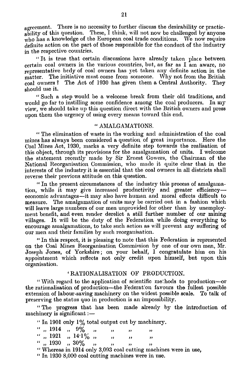agreement. There is no necessity to further discuss the desirability or practicability of this question. These, I think, will not now be challenged by anyone who has a knowledge of the European coal trade conditions. We now require definite action on the part of those responsible for the conduct of the industry in the respective countries.

"It is true that certain discussions have already taken place between certain coal owners in the various countries, but, as far as  $I$  am aware, no representative bedy of coal owners has yet taken any definite action in the matter. The initiative must come from someone. Why not from the British coal owners? The Act of 1930 has given them a Central Authority. They coal owners? The Act of 1930 has given them a Central Authority. should use it.

"Such a step would be a welcome break from their old traditions, and would go far to instilling some confidence among the coal producers. In my view, we should take up this question direct with the British owners and press upon them the urgency of using every means toward this end.

#### "AMALGAMATIONS.

" The elimination of waste in the working and administration of the coal mines has always been considered a question of great importance. Here the Coal Mines Act, 1930, marks a very definite step towards the realisation of this object, through its provisions for the amalgamation of units. I welcome the statement recently made by Sir Ernest Gowers, the Chairman of the National Reorganisation Commission, who made it quite clear that in the interests of the industry it is essential that the coal owners in all districts shall reverse their previous attitude on this question.

"In the present circumstances of the industry this process of amalgamation, while it may give increased productivity and greater efficiencyeconomic advantages—it may also have human and moral effects difficult to measure. The amalgamation of units may be carried out in a fashion which will leave large numbers of our men unprovided for other than by unemployment benefit, and even render derelict a still further number of our mining villages. It will be the duty of the Federation while doing everything to encourage amalgamations, to take such action as will prevent any suffering of our men and their families by such reorganisation.

"In this respect, it is pleasing to note that this Federation is represented on the Coal Mines Reorganisation Commission by one of our own men, Mr. Joseph Jones, of Yorkshire; on your behalf, I congratulate him on his appointment which reflects not only credit upon himself, but upon this organisation.

# 'RATIONALISATION OF PRODUCTION.

"With regard to the application of scientific methods to production-or the rationalisation of production—the Federation favours the fullest possible extension of labour-saving machinery on the widest possible scale. To talk of

preserving the status quo in production is an impossibility.<br>
"The progress that has been made already by the machinery is significant:—<br>  $\frac{1001 \text{ m} \cdot 1001 \text{ m} \cdot 1001 \text{ m}}{2001 \text{ m} \cdot 1001 \text{ m}}$ "The progress that has been made already by the introduction of machinery is significant :-

|  |                            |  |         |          | " In 1901 only 1% total output cut by machinery.  |
|--|----------------------------|--|---------|----------|---------------------------------------------------|
|  | $\cdot\cdot$ , 1914 , 9% , |  |         |          |                                                   |
|  | $\lq$ , 1921, 14.1%,       |  | $\cdot$ | $\cdots$ | ,,                                                |
|  | $\lq\lq$ , 1930, 30%, ,    |  |         |          |                                                   |
|  |                            |  |         |          | "Whereas in 1914 only 3,093 coal cutting machines |

nes were in use,

In 1930 8,000 coal cutting machines were in use.